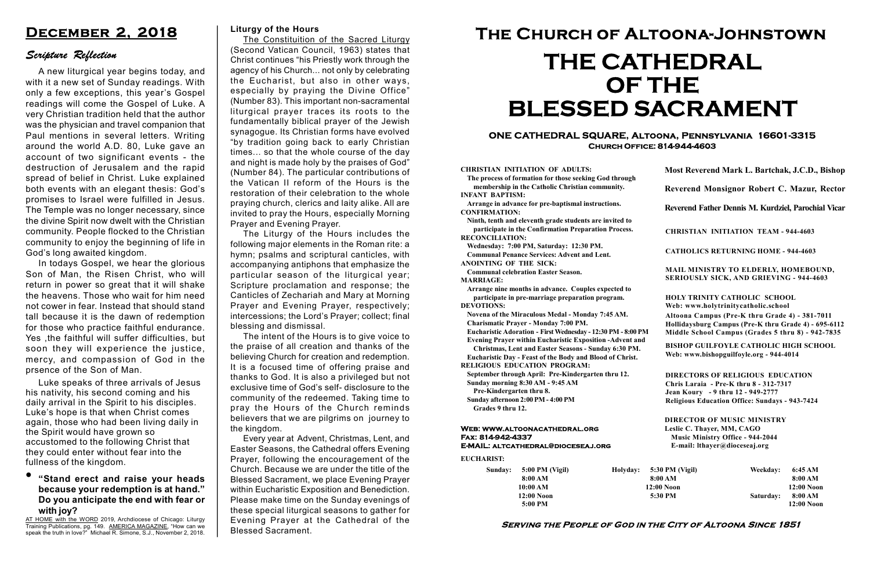#### Serving the People of God in the City of Altoona Since 1851

Sunday: 5:00 PM (Vigil) 8:00 AM 10:00 AM 12:00 Noon 5:00 PM

Holyday:

#### Web: www.altoonacathedral.org Fax: 814-942-4337 E-MAIL: altcathedral@dioceseaj.org

EUCHARIST:

#### CHRISTIAN INITIATION OF ADULTS:

The process of formation for those seeking God through membership in the Catholic Christian community. INFANT BAPTISM:

Arrange in advance for pre-baptismal instructions. CONFIRMATION:

Ninth, tenth and eleventh grade students are invited to participate in the Confirmation Preparation Process. RECONCILIATION:

Wednesday: 7:00 PM, Saturday: 12:30 PM. Communal Penance Services: Advent and Lent.

ANOINTING OF THE SICK: Communal celebration Easter Season.

MARRIAGE:

Arrange nine months in advance. Couples expected to participate in pre-marriage preparation program. DEVOTIONS:

Novena of the Miraculous Medal - Monday 7:45 AM. Charismatic Prayer - Monday 7:00 PM.

Eucharistic Adoration - First Wednesday - 12:30 PM - 8:00 PM

Evening Prayer within Eucharistic Exposition -Advent and

Christmas, Lent and Easter Seasons - Sunday 6:30 PM.

|                         | Most Reverend Mark L. Bartchak, J.C.D., Bishop<br>Reverend Monsignor Robert C. Mazur, Rector                                                                                    |           |                         |
|-------------------------|---------------------------------------------------------------------------------------------------------------------------------------------------------------------------------|-----------|-------------------------|
|                         |                                                                                                                                                                                 |           |                         |
|                         | Reverend Father Dennis M. Kurdziel, Parochial Vicar                                                                                                                             |           |                         |
|                         | <b>CHRISTIAN INITIATION TEAM - 944-4603</b>                                                                                                                                     |           |                         |
|                         | <b>CATHOLICS RETURNING HOME - 944-4603</b>                                                                                                                                      |           |                         |
|                         | MAIL MINISTRY TO ELDERLY, HOMEBOUND,<br><b>SERIOUSLY SICK, AND GRIEVING - 944-4603</b>                                                                                          |           |                         |
|                         | <b>HOLY TRINITY CATHOLIC SCHOOL</b><br>Web: www.holytrinitycatholic.school                                                                                                      |           |                         |
| М                       | Altoona Campus (Pre-K thru Grade 4) - 381-7011<br>Hollidaysburg Campus (Pre-K thru Grade 4) - 695-6112<br>Middle School Campus (Grades 5 thru 8) - 942-7835                     |           |                         |
| ł                       | <b>BISHOP GUILFOYLE CATHOLIC HIGH SCHOOL</b><br>Web: www.bishopguilfoyle.org - 944-4014                                                                                         |           |                         |
|                         | <b>DIRECTORS OF RELIGIOUS EDUCATION</b><br>Chris Laraia - Pre-K thru 8 - 312-7317<br>Jean Koury - 9 thru 12 - 949-2777<br><b>Religious Education Office: Sundays - 943-7424</b> |           |                         |
|                         | <b>DIRECTOR OF MUSIC MINISTRY</b><br>Leslie C. Thayer, MM, CAGO<br><b>Music Ministry Office - 944-2044</b><br>E-mail: lthayer@dioceseaj.org                                     |           |                         |
| 5:30 PM (Vigil)         |                                                                                                                                                                                 | Weekday:  | 6:45 AM                 |
| 8:00 AM<br>$12:00$ Noon |                                                                                                                                                                                 |           | 8:00 AM<br>12:00 Noon   |
|                         | 5:30 PM                                                                                                                                                                         | Saturday: | 8:00 AM<br>$12:00$ Noon |
|                         |                                                                                                                                                                                 |           |                         |

Eucharistic Day - Feast of the Body and Blood of Christ. RELIGIOUS EDUCATION PROGRAM:

September through April: Pre-Kindergarten thru 12. Sunday morning 8:30 AM - 9:45 AM

Pre-Kindergarten thru 8.

Sunday afternoon 2:00 PM - 4:00 PM Grades 9 thru 12.

#### ONE CATHEDRAL SQUARE, Altoona, Pennsylvania 16601-3315 Church Office: 814-944-4603

The Constituition of the **Sacred Liturgy** (Second Vatican Council, 1963) states that Christ continues "his Priestly work through the agency of his Church... not only by celebrating the Eucharist, but also in other ways, especially by praying the Divine Office" (Number 83). This important non-sacramental liturgical prayer traces its roots to the fundamentally biblical prayer of the Jewish synagogue. Its Christian forms have evolved "by tradition going back to early Christian times... so that the whole course of the day and night is made holy by the praises of God" (Number 84). The particular contributions of the Vatican II reform of the Hours is the restoration of their celebration to the whole praying church, clerics and laity alike. All are invited to pray the Hours, especially Morning Prayer and Evening Prayer.

# The Church of Altoona-Johnstown THE CATHEDRAL OF THE BLESSED SACRAMENT

# "Stand erect and raise your heads because your redemption is at hand." Do you anticipate the end with fear or with joy?

# December 2, 2018

# Scripture Reflection

A new liturgical year begins today, and with it a new set of Sunday readings. With only a few exceptions, this year's Gospel readings will come the Gospel of Luke. A very Christian tradition held that the author was the physician and travel companion that Paul mentions in several letters. Writing around the world A.D. 80, Luke gave an account of two significant events - the destruction of Jerusalem and the rapid spread of belief in Christ. Luke explained both events with an elegant thesis: God's promises to Israel were fulfilled in Jesus. The Temple was no longer necessary, since the divine Spirit now dwelt with the Christian community. People flocked to the Christian community to enjoy the beginning of life in God's long awaited kingdom.

In todays Gospel, we hear the glorious Son of Man, the Risen Christ, who will return in power so great that it will shake the heavens. Those who wait for him need not cower in fear. Instead that should stand tall because it is the dawn of redemption for those who practice faithful endurance. Yes ,the faithful will suffer difficulties, but soon they will experience the justice, mercy, and compassion of God in the prsence of the Son of Man.

#### Liturgy of the Hours

The Liturgy of the Hours includes the following major elements in the Roman rite: a hymn; psalms and scriptural canticles, with accompanying antiphons that emphasize the particular season of the liturgical year; Scripture proclamation and response; the Canticles of Zechariah and Mary at Morning Prayer and Evening Prayer, respectively; intercessions; the Lord's Prayer; collect; final blessing and dismissal.

The intent of the Hours is to give voice to the praise of all creation and thanks of the believing Church for creation and redemption. It is a focused time of offering praise and thanks to God. It is also a privileged but not exclusive time of God's self- disclosure to the community of the redeemed. Taking time to pray the Hours of the Church reminds believers that we are pilgrims on journey to the kingdom.

Every year at Advent, Christmas, Lent, and Easter Seasons, the Cathedral offers Evening Prayer, following the encouragement of the Church. Because we are under the title of the Blessed Sacrament, we place Evening Prayer within Eucharistic Exposition and Benediction. Please make time on the Sunday evenings of these special liturgical seasons to gather for Evening Prayer at the Cathedral of the Blessed Sacrament.

Luke speaks of three arrivals of Jesus his nativity, his second coming and his daily arrival in the Spirit to his disciples. Luke's hope is that when Christ comes again, those who had been living daily in the Spirit would have grown so accustomed to the following Christ that they could enter without fear into the fullness of the kingdom.

AT HOME with the WORD 2019, Archdiocese of Chicago: Liturgy Training Publications, pg. 149. AMERICA MAGAZINE, "How can we speak the truth in love?" Michael R. Simone, S.J., November 2, 2018.